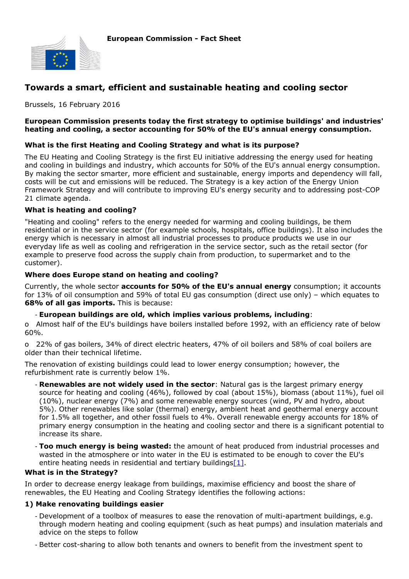

# **Towards a smart, efficient and sustainable heating and cooling sector**

Brussels, 16 February 2016

### **European Commission presents today the first strategy to optimise buildings' and industries' heating and cooling, a sector accounting for 50% of the EU's annual energy consumption.**

### **What is the first Heating and Cooling Strategy and what is its purpose?**

The EU Heating and Cooling Strategy is the first EU initiative addressing the energy used for heating and cooling in buildings and industry, which accounts for 50% of the EU's annual energy consumption. By making the sector smarter, more efficient and sustainable, energy imports and dependency will fall, costs will be cut and emissions will be reduced. The Strategy is a key action of the Energy Union Framework Strategy and will contribute to improving EU's energy security and to addressing post-COP 21 climate agenda.

### **What is heating and cooling?**

"Heating and cooling" refers to the energy needed for warming and cooling buildings, be them residential or in the service sector (for example schools, hospitals, office buildings). It also includes the energy which is necessary in almost all industrial processes to produce products we use in our everyday life as well as cooling and refrigeration in the service sector, such as the retail sector (for example to preserve food across the supply chain from production, to supermarket and to the customer).

### **Where does Europe stand on heating and cooling?**

Currently, the whole sector **accounts for 50% of the EU's annual energy** consumption; it accounts for 13% of oil consumption and 59% of total EU gas consumption (direct use only) – which equates to **68% of all gas imports.** This is because:

### - **European buildings are old, which implies various problems, including**:

o Almost half of the EU's buildings have boilers installed before 1992, with an efficiency rate of below 60%.

o 22% of gas boilers, 34% of direct electric heaters, 47% of oil boilers and 58% of coal boilers are older than their technical lifetime.

The renovation of existing buildings could lead to lower energy consumption; however, the refurbishment rate is currently below 1%.

- **Renewables are not widely used in the sector**: Natural gas is the largest primary energy source for heating and cooling (46%), followed by coal (about 15%), biomass (about 11%), fuel oil (10%), nuclear energy (7%) and some renewable energy sources (wind, PV and hydro, about 5%). Other renewables like solar (thermal) energy, ambient heat and geothermal energy account for 1.5% all together, and other fossil fuels to 4%. Overall renewable energy accounts for 18% of primary energy consumption in the heating and cooling sector and there is a significant potential to increase its share.
- **Too much energy is being wasted:** the amount of heat produced from industrial processes and wasted in the atmosphere or into water in the EU is estimated to be enough to cover the EU's entire heating needs in residential and tertiary buildings $[1]$ .

### **What is in the Strategy?**

In order to decrease energy leakage from buildings, maximise efficiency and boost the share of renewables, the EU Heating and Cooling Strategy identifies the following actions:

### **1) Make renovating buildings easier**

- Development of a toolbox of measures to ease the renovation of multi-apartment buildings, e.g. through modern heating and cooling equipment (such as heat pumps) and insulation materials and advice on the steps to follow
- Better cost-sharing to allow both tenants and owners to benefit from the investment spent to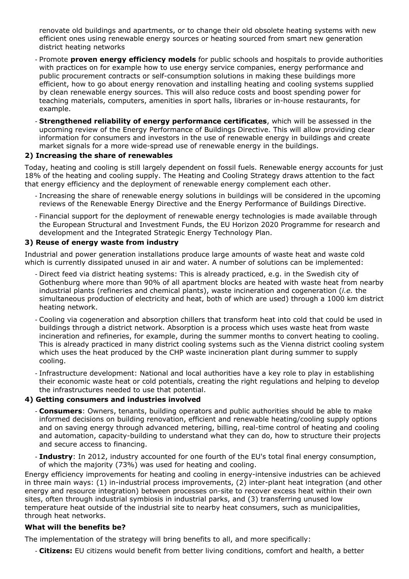renovate old buildings and apartments, or to change their old obsolete heating systems with new efficient ones using renewable energy sources or heating sourced from smart new generation district heating networks

- Promote **proven energy efficiency models** for public schools and hospitals to provide authorities with practices on for example how to use energy service companies, energy performance and public procurement contracts or self-consumption solutions in making these buildings more efficient, how to go about energy renovation and installing heating and cooling systems supplied by clean renewable energy sources. This will also reduce costs and boost spending power for teaching materials, computers, amenities in sport halls, libraries or in-house restaurants, for example.
- **Strengthened reliability of energy performance certificates**, which will be assessed in the upcoming review of the Energy Performance of Buildings Directive. This will allow providing clear information for consumers and investors in the use of renewable energy in buildings and create market signals for a more wide-spread use of renewable energy in the buildings.

## **2) Increasing the share of renewables**

Today, heating and cooling is still largely dependent on fossil fuels. Renewable energy accounts for just 18% of the heating and cooling supply. The Heating and Cooling Strategy draws attention to the fact that energy efficiency and the deployment of renewable energy complement each other.

- Increasing the share of renewable energy solutions in buildings will be considered in the upcoming reviews of the Renewable Energy Directive and the Energy Performance of Buildings Directive.
- Financial support for the deployment of renewable energy technologies is made available through the European Structural and Investment Funds, the EU Horizon 2020 Programme for research and development and the Integrated Strategic Energy Technology Plan.

### **3) Reuse of energy waste from industry**

Industrial and power generation installations produce large amounts of waste heat and waste cold which is currently dissipated unused in air and water. A number of solutions can be implemented:

- Direct feed via district heating systems: This is already practiced, e.g. in the Swedish city of Gothenburg where more than 90% of all apartment blocks are heated with waste heat from nearby industrial plants (refineries and chemical plants), waste incineration and cogeneration (*i.e.* the simultaneous production of electricity and heat, both of which are used) through a 1000 km district heating network.
- Cooling via cogeneration and absorption chillers that transform heat into cold that could be used in buildings through a district network. Absorption is a process which uses waste heat from waste incineration and refineries, for example, during the summer months to convert heating to cooling. This is already practiced in many district cooling systems such as the Vienna district cooling system which uses the heat produced by the CHP waste incineration plant during summer to supply cooling.
- Infrastructure development: National and local authorities have a key role to play in establishing their economic waste heat or cold potentials, creating the right regulations and helping to develop the infrastructures needed to use that potential.

### **4) Getting consumers and industries involved**

- **Consumers**: Owners, tenants, building operators and public authorities should be able to make informed decisions on building renovation, efficient and renewable heating/cooling supply options and on saving energy through advanced metering, billing, real-time control of heating and cooling and automation, capacity-building to understand what they can do, how to structure their projects and secure access to financing.
- **Industry**: In 2012, industry accounted for one fourth of the EU's total final energy consumption, of which the majority (73%) was used for heating and cooling.

Energy efficiency improvements for heating and cooling in energy-intensive industries can be achieved in three main ways: (1) in-industrial process improvements, (2) inter-plant heat integration (and other energy and resource integration) between processes on-site to recover excess heat within their own sites, often through industrial symbiosis in industrial parks, and (3) transferring unused low temperature heat outside of the industrial site to nearby heat consumers, such as municipalities, through heat networks.

### **What will the benefits be?**

The implementation of the strategy will bring benefits to all, and more specifically:

- **Citizens:** EU citizens would benefit from better living conditions, comfort and health, a better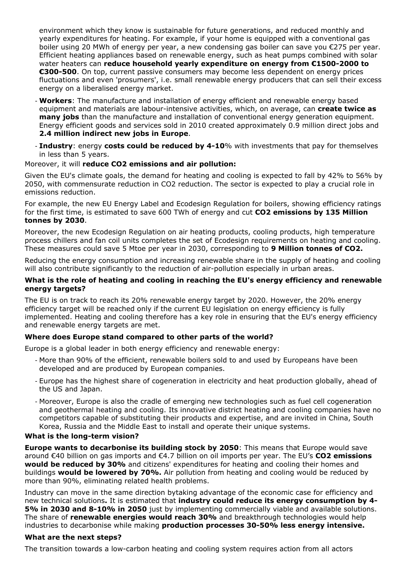environment which they know is sustainable for future generations, and reduced monthly and yearly expenditures for heating. For example, if your home is equipped with a conventional gas boiler using 20 MWh of energy per year, a new condensing gas boiler can save you €275 per year. Efficient heating appliances based on renewable energy, such as heat pumps combined with solar water heaters can **reduce household yearly expenditure on energy from €1500-2000 to €300-500**. On top, current passive consumers may become less dependent on energy prices fluctuations and even 'prosumers', i.e. small renewable energy producers that can sell their excess energy on a liberalised energy market.

- **Workers**: The manufacture and installation of energy efficient and renewable energy based equipment and materials are labour-intensive activities, which, on average, can **create twice as many jobs** than the manufacture and installation of conventional energy generation equipment. Energy efficient goods and services sold in 2010 created approximately 0.9 million direct jobs and **2.4 million indirect new jobs in Europe**.
- **Industry**: energy **costs could be reduced by 4-10**% with investments that pay for themselves in less than 5 years.

### Moreover, it will **reduce CO2 emissions and air pollution:**

Given the EU's climate goals, the demand for heating and cooling is expected to fall by 42% to 56% by 2050, with commensurate reduction in CO2 reduction. The sector is expected to play a crucial role in emissions reduction.

For example, the new EU Energy Label and Ecodesign Regulation for boilers, showing efficiency ratings for the first time, is estimated to save 600 TWh of energy and cut **CO2 emissions by 135 Million tonnes by 2030**.

Moreover, the new Ecodesign Regulation on air heating products, cooling products, high temperature process chillers and fan coil units completes the set of Ecodesign requirements on heating and cooling. These measures could save 5 Mtoe per year in 2030, corresponding to **9 Million tonnes of CO2.**

Reducing the energy consumption and increasing renewable share in the supply of heating and cooling will also contribute significantly to the reduction of air-pollution especially in urban areas.

### **What is the role of heating and cooling in reaching the EU's energy efficiency and renewable energy targets?**

The EU is on track to reach its 20% renewable energy target by 2020. However, the 20% energy efficiency target will be reached only if the current EU legislation on energy efficiency is fully implemented. Heating and cooling therefore has a key role in ensuring that the EU's energy efficiency and renewable energy targets are met.

## **Where does Europe stand compared to other parts of the world?**

Europe is a global leader in both energy efficiency and renewable energy:

- More than 90% of the efficient, renewable boilers sold to and used by Europeans have been developed and are produced by European companies.
- Europe has the highest share of cogeneration in electricity and heat production globally, ahead of the US and Japan.
- Moreover, Europe is also the cradle of emerging new technologies such as fuel cell cogeneration and geothermal heating and cooling. Its innovative district heating and cooling companies have no competitors capable of substituting their products and expertise, and are invited in China, South Korea, Russia and the Middle East to install and operate their unique systems.

### **What is the long-term vision?**

**Europe wants to decarbonise its building stock by 2050**: This means that Europe would save around €40 billion on gas imports and €4.7 billion on oil imports per year. The EU's **CO2 emissions would be reduced by 30%** and citizens' expenditures for heating and cooling their homes and buildings **would be lowered by 70%.** Air pollution from heating and cooling would be reduced by more than 90%, eliminating related health problems.

Industry can move in the same direction bytaking advantage of the economic case for efficiency and new technical solutions**.** It is estimated that **industry could reduce its energy consumption by 4- 5% in 2030 and 8-10% in 2050** just by implementing commercially viable and available solutions. The share of **renewable energies would reach 30%** and breakthrough technologies would help industries to decarbonise while making **production processes 30-50% less energy intensive.**

### **What are the next steps?**

The transition towards a low-carbon heating and cooling system requires action from all actors